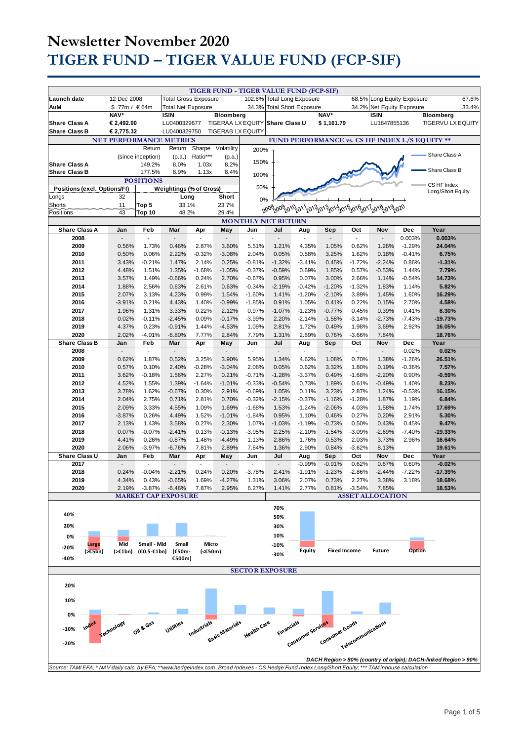|                                                                                                                                                         |                          |                            |                              |                   | TIGER FUND - TIGER VALUE FUND (FCP-SIF)             |                      |                            |                            |                      |                   |                           |                   |                                                                 |       |
|---------------------------------------------------------------------------------------------------------------------------------------------------------|--------------------------|----------------------------|------------------------------|-------------------|-----------------------------------------------------|----------------------|----------------------------|----------------------------|----------------------|-------------------|---------------------------|-------------------|-----------------------------------------------------------------|-------|
| Launch date                                                                                                                                             | 12 Dec 2008              |                            | <b>Total Gross Exposure</b>  |                   |                                                     | 102.8%               |                            | <b>Total Long Exposure</b> |                      | 68.5%             | Long Equity Exposure      |                   |                                                                 | 67.6% |
| AuM                                                                                                                                                     | \$77m / €64m             |                            | <b>Total Net Exposure</b>    |                   |                                                     |                      | 34.3% Total Short Exposure |                            |                      |                   | 34.2% Net Equity Exposure |                   |                                                                 | 33.4% |
|                                                                                                                                                         | NAV*                     |                            | <b>ISIN</b>                  |                   | <b>Bloomberg</b><br>TIGERAA LX EQUITY Share Class U |                      |                            |                            | NAV*                 |                   | <b>ISIN</b>               |                   | Bloomberg                                                       |       |
| <b>Share Class A</b><br><b>Share Class B</b>                                                                                                            | € 2,492.00<br>€ 2,775.32 |                            | LU0400329677<br>LU0400329750 |                   | <b>TIGERAB LX EQUITY</b>                            |                      |                            |                            | \$1,161.79           |                   | LU1647855136              |                   | <b>TIGERVU LX EQUITY</b>                                        |       |
| <b>NET PERFORMANCE METRICS</b><br>FUND PERFORMANCE vs. CS HF INDEX L/S EQUITY **                                                                        |                          |                            |                              |                   |                                                     |                      |                            |                            |                      |                   |                           |                   |                                                                 |       |
|                                                                                                                                                         |                          | Return                     | Return                       | Sharpe            | Volatility                                          | 200%                 |                            |                            |                      |                   |                           |                   |                                                                 |       |
|                                                                                                                                                         |                          | (since inception)          | (p.a.)                       | Ratio***          | (p.a.)                                              |                      |                            |                            |                      |                   |                           |                   | Share Class A                                                   |       |
| <b>Share Class A</b>                                                                                                                                    |                          | 149.2%                     | 8.0%                         | 1.03x             | 8.2%                                                | 150%                 |                            |                            |                      |                   |                           |                   | Share Class B                                                   |       |
| <b>Share Class B</b>                                                                                                                                    |                          | 177.5%<br><b>POSITIONS</b> | 8.9%                         | 1.13x             | 8.4%                                                | 100%                 |                            |                            |                      |                   |                           |                   |                                                                 |       |
| Positions (excl. Options/FI)                                                                                                                            |                          |                            | Weightings (% of Gross)      |                   |                                                     | 50%                  |                            |                            |                      |                   |                           |                   | CS HF Index                                                     |       |
| Longs                                                                                                                                                   | 32                       |                            | Long                         |                   | Short                                               | 0%                   |                            |                            |                      |                   |                           |                   | Long/Short Equity                                               |       |
| Shorts                                                                                                                                                  | 11                       | Top 5                      | 33.1%                        |                   | 23.7%                                               |                      |                            |                            |                      |                   |                           |                   |                                                                 |       |
| 43<br>Positions<br>Top 10<br>48.2%<br>29.4%<br><b>MONTHLY NET RETURN</b>                                                                                |                          |                            |                              |                   |                                                     |                      |                            |                            |                      |                   |                           |                   |                                                                 |       |
| <b>Share Class A</b>                                                                                                                                    | Jan                      | Feb                        | Mar                          |                   |                                                     | Jun                  | Jul                        |                            |                      | Oct               | Nov                       | Dec               | Year                                                            |       |
| 2008                                                                                                                                                    |                          | ÷.                         |                              | Apr               | May<br>$\overline{\phantom{a}}$                     | $\overline{a}$       |                            | Aug                        | Sep                  | ä,                |                           | 0.003%            | 0.003%                                                          |       |
| 2009                                                                                                                                                    | 0.56%                    | 1.73%                      | 0.46%                        | 2.87%             | 3.60%                                               | 5.51%                | 1.21%                      | 4.35%                      | 1.05%                | 0.62%             | 1.26%                     | $-1.29%$          | 24.04%                                                          |       |
| 2010                                                                                                                                                    | 0.50%                    | 0.06%                      | 2.22%                        | $-0.32%$          | $-3.08%$                                            | 2.04%                | 0.05%                      | 0.58%                      | 3.25%                | 1.62%             | 0.18%                     | $-0.41%$          | 6.75%                                                           |       |
| 2011                                                                                                                                                    | 3.43%                    | $-0.21%$                   | 1.47%                        | 2.14%             | 0.25%                                               | $-0.81%$             | $-1.32%$                   | $-3.41%$                   | 0.45%                | $-1.72%$          | $-2.24%$                  | 0.86%             | $-1.31%$                                                        |       |
| 2012<br>2013                                                                                                                                            | 4.48%                    | 1.51%<br>1.49%             | 1.35%                        | $-1.68%$<br>0.24% | $-1.05%$<br>2.70%                                   | $-0.37%$<br>$-0.67%$ | $-0.59%$<br>0.95%          | 0.69%<br>0.07%             | 1.85%<br>3.00%       | 0.57%<br>2.66%    | $-0.53%$                  | 1.44%<br>$-0.54%$ | 7.79%<br>14.73%                                                 |       |
| 2014                                                                                                                                                    | 3.57%<br>1.88%           | 2.56%                      | $-0.66%$<br>0.63%            | 2.61%             | 0.63%                                               | $-0.34%$             | $-2.19%$                   | $-0.42%$                   | $-1.20%$             | $-1.32%$          | 1.14%<br>1.83%            | 1.14%             | 5.82%                                                           |       |
| 2015                                                                                                                                                    | 2.07%                    | 3.13%                      | 4.23%                        | 0.99%             | 1.54%                                               | $-1.60%$             | 1.41%                      | $-1.20%$                   | $-2.10%$             | 3.89%             | 1.45%                     | 1.60%             | 16.29%                                                          |       |
| 2016                                                                                                                                                    | $-3.91%$                 | 0.21%                      | 4.43%                        | 1.40%             | $-0.99%$                                            | $-1.85%$             | 0.91%                      | 1.05%                      | 0.41%                | 0.22%             | 0.15%                     | 2.70%             | 4.58%                                                           |       |
| 2017                                                                                                                                                    | 1.96%                    | 1.31%                      | 3.33%                        | 0.22%             | 2.12%                                               | 0.97%                | $-1.07%$                   | $-1.23%$                   | $-0.77%$             | 0.45%             | 0.39%                     | 0.41%             | 8.30%                                                           |       |
| 2018<br>2019                                                                                                                                            | 0.02%<br>4.37%           | $-0.11%$<br>0.23%          | $-2.45%$<br>$-0.91%$         | 0.09%<br>1.44%    | $-0.17%$                                            | $-3.99%$             | 2.20%<br>2.81%             | $-2.14%$                   | $-1.58%$<br>0.49%    | $-3.14%$<br>1.98% | $-2.73%$<br>3.69%         | $-7.43%$<br>2.92% | $-19.73%$<br>16.05%                                             |       |
| 2020                                                                                                                                                    | 2.02%                    | $-4.01%$                   | $-6.80%$                     | 7.77%             | $-4.53%$<br>2.84%                                   | 1.09%<br>7.79%       | 1.31%                      | 1.72%<br>2.69%             | 0.76%                | $-3.66%$          | 7.84%                     |                   | 18.76%                                                          |       |
| <b>Share Class B</b>                                                                                                                                    | Jan                      | Feb                        | Mar                          | Apr               | May                                                 | Jun                  | Jul                        | Aug                        | Sep                  | Oct               | Nov                       | <b>Dec</b>        | Year                                                            |       |
| 2008                                                                                                                                                    | $\sim$                   | $\mathcal{L}$              | $\overline{\phantom{a}}$     | $\blacksquare$    | $\sim$                                              | $\mathbf{r}$         | $\overline{\phantom{a}}$   | $\sim$                     | $\blacksquare$       | $\mathcal{L}$     | $\blacksquare$            | 0.02%             | 0.02%                                                           |       |
| 2009                                                                                                                                                    | 0.62%                    | 1.87%                      | 0.52%                        | 3.25%             | 3.90%                                               | 5.95%                | 1.34%                      | 4.62%                      | 1.08%                | 0.70%             | 1.38%                     | $-1.26%$          | 26.51%                                                          |       |
| 2010<br>2011                                                                                                                                            | 0.57%<br>3.62%           | 0.10%<br>$-0.18%$          | 2.40%<br>1.56%               | $-0.28%$<br>2.27% | $-3.04%$<br>0.21%                                   | 2.08%<br>$-0.71%$    | 0.05%<br>$-1.28%$          | 0.62%<br>$-3.37%$          | 3.32%<br>0.49%       | 1.80%<br>$-1.68%$ | 0.19%<br>$-2.20%$         | $-0.36%$<br>0.90% | 7.57%<br>$-0.59%$                                               |       |
| 2012                                                                                                                                                    | 4.52%                    | 1.55%                      | 1.39%                        | $-1.64%$          | $-1.01%$                                            | $-0.33%$             | $-0.54%$                   | 0.73%                      | 1.89%                | 0.61%             | $-0.49%$                  | 1.40%             | 8.23%                                                           |       |
| 2013                                                                                                                                                    | 3.78%                    | 1.62%                      | $-0.67%$                     | 0.30%             | 2.91%                                               | $-0.69%$             | 1.05%                      | 0.11%                      | 3.23%                | 2.87%             | 1.24%                     | $-0.53%$          | 16.15%                                                          |       |
| 2014                                                                                                                                                    | 2.04%                    | 2.75%                      | 0.71%                        | 2.81%             | 0.70%                                               | $-0.32%$             | $-2.15%$                   | $-0.37%$                   | $-1.16%$             | $-1.28%$          | 1.87%                     | 1.19%             | 6.84%                                                           |       |
| 2015                                                                                                                                                    | 2.09%                    | 3.33%                      | 4.55%                        | 1.09%             | 1.69%                                               | $-1.68%$             | 1.53%                      | $-1.24%$                   | $-2.06%$             | 4.03%             | 1.58%                     | 1.74%             | 17.69%                                                          |       |
| 2016<br>2017                                                                                                                                            | $-3.87%$<br>2.13%        | 0.26%<br>1.43%             | 4.49%<br>3.58%               | 1.52%<br>0.27%    | $-1.01%$<br>2.30%                                   | $-1.84%$<br>1.07%    | 0.95%<br>$-1.03%$          | 1.10%<br>$-1.19%$          | 0.46%<br>$-0.73%$    | 0.27%<br>0.50%    | 0.20%<br>0.43%            | 2.91%<br>0.45%    | 5.30%<br>9.47%                                                  |       |
| 2018                                                                                                                                                    | 0.07%                    | $-0.07%$                   | $-2.41%$                     | 0.13%             | $-0.13%$                                            | $-3.95%$             | 2.25%                      | $-2.10%$                   | $-1.54%$             | $-3.09%$          | $-2.69%$                  | $-7.40%$          | $-19.33%$                                                       |       |
| 2019                                                                                                                                                    | 4.41%                    | 0.26%                      | $-0.87%$                     | 1.48%             | $-4.49%$                                            | 1.13%                | 2.86%                      | 1.76%                      | 0.53%                | 2.03%             | 3.73%                     | 2.96%             | 16.64%                                                          |       |
| 2020                                                                                                                                                    | 2.06%                    | $-3.97%$                   | $-6.76%$                     | 7.81%             | 2.89%                                               | 7.64%                | 1.36%                      | 2.90%                      | 0.84%                | $-3.62%$          | 8.13%                     |                   | 19.61%                                                          |       |
| Share Class U                                                                                                                                           | Jan                      | Feb                        | Mar                          | Apr               | May                                                 | Jun                  | Jul                        | Aug                        | Sep                  | Oct               | Nov                       | <b>Dec</b>        | Year                                                            |       |
| 2017<br>2018                                                                                                                                            | 0.24%                    | ÷,<br>$-0.04%$             | $-2.21%$                     | ÷,<br>0.24%       | $\overline{\phantom{a}}$<br>0.20%                   | Ĭ.<br>$-3.78%$       | ÷,<br>2.41%                | $-0.99%$<br>$-1.91%$       | $-0.91%$<br>$-1.23%$ | 0.62%<br>$-2.86%$ | 0.67%<br>$-2.44%$         | 0.60%<br>$-7.22%$ | $-0.02%$<br>$-17.39%$                                           |       |
| 2019                                                                                                                                                    | 4.34%                    | 0.43%                      | $-0.65%$                     | 1.69%             | $-4.27%$                                            | 1.31%                | 3.06%                      | 2.07%                      | 0.73%                | 2.27%             | 3.38%                     | 3.18%             | 18.68%                                                          |       |
| 2020                                                                                                                                                    | 2.19%                    | $-3.87%$                   | $-6.46%$                     | 7.87%             | 2.95%                                               | 6.27%                | 1.41%                      | 2.77%                      | 0.81%                | $-3.54%$          | 7.85%                     |                   | 18.53%                                                          |       |
|                                                                                                                                                         |                          |                            | <b>MARKET CAP EXPOSURE</b>   |                   |                                                     |                      |                            |                            |                      |                   | <b>ASSET ALLOCATION</b>   |                   |                                                                 |       |
|                                                                                                                                                         |                          |                            |                              |                   |                                                     |                      | 70%                        |                            |                      |                   |                           |                   |                                                                 |       |
| 40%                                                                                                                                                     |                          |                            |                              |                   |                                                     |                      | 50%                        |                            |                      |                   |                           |                   |                                                                 |       |
| 20%                                                                                                                                                     |                          |                            |                              |                   |                                                     |                      | 30%                        |                            |                      |                   |                           |                   |                                                                 |       |
| 0%                                                                                                                                                      |                          |                            |                              |                   |                                                     |                      | 10%                        |                            |                      |                   |                           |                   |                                                                 |       |
| Large<br>$-20%$                                                                                                                                         | Mid                      | Small - Mid                | Small                        | Micro             |                                                     |                      | $-10%$                     |                            | <b>Fixed Income</b>  |                   | <b>Future</b>             | <b>Option</b>     |                                                                 |       |
| (565)<br>-40%                                                                                                                                           | (>€1bn)                  | (€0.5-€1bn)                | (€50m-<br>€500m)             | (<€50m)           |                                                     |                      | -30%                       | <b>Equity</b>              |                      |                   |                           |                   |                                                                 |       |
|                                                                                                                                                         |                          |                            |                              |                   |                                                     |                      |                            |                            |                      |                   |                           |                   |                                                                 |       |
| <b>SECTOR EXPOSURE</b>                                                                                                                                  |                          |                            |                              |                   |                                                     |                      |                            |                            |                      |                   |                           |                   |                                                                 |       |
| 20%                                                                                                                                                     |                          |                            |                              |                   |                                                     |                      |                            |                            |                      |                   |                           |                   |                                                                 |       |
| 10%                                                                                                                                                     |                          |                            |                              |                   |                                                     |                      |                            |                            |                      |                   |                           |                   |                                                                 |       |
|                                                                                                                                                         |                          |                            |                              |                   |                                                     |                      |                            |                            |                      |                   |                           |                   |                                                                 |       |
| 0%                                                                                                                                                      |                          |                            |                              |                   |                                                     |                      |                            |                            |                      |                   |                           |                   |                                                                 |       |
| Index                                                                                                                                                   |                          | Oil & Gas                  | Utilities                    |                   |                                                     |                      |                            |                            |                      |                   |                           |                   |                                                                 |       |
| Industrials<br><b>Financials</b><br>Consumer services<br>Basic Materials<br>Consumer Goods<br>Health Care<br>Telecommunications<br>Technology<br>$-10%$ |                          |                            |                              |                   |                                                     |                      |                            |                            |                      |                   |                           |                   |                                                                 |       |
| $-20%$                                                                                                                                                  |                          |                            |                              |                   |                                                     |                      |                            |                            |                      |                   |                           |                   |                                                                 |       |
|                                                                                                                                                         |                          |                            |                              |                   |                                                     |                      |                            |                            |                      |                   |                           |                   |                                                                 |       |
| Source: TAM/EFA; * NAV daily calc. by EFA; **www.hedgeindex.com, Broad Indexes - CS Hedge Fund Index Long/Short Equity; *** TAM inhouse calculation     |                          |                            |                              |                   |                                                     |                      |                            |                            |                      |                   |                           |                   | DACH Region > 80% (country of origin); DACH-linked Region > 90% |       |
|                                                                                                                                                         |                          |                            |                              |                   |                                                     |                      |                            |                            |                      |                   |                           |                   |                                                                 |       |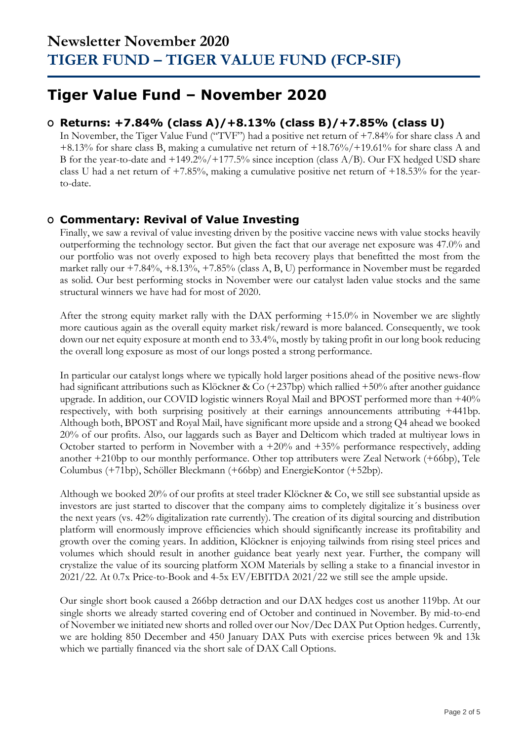## **Tiger Value Fund – November 2020**

### **O Returns: +7.84% (class A)/+8.13% (class B)/+7.85% (class U)**

In November, the Tiger Value Fund ("TVF") had a positive net return of +7.84% for share class A and +8.13% for share class B, making a cumulative net return of +18.76%/+19.61% for share class A and B for the year-to-date and  $+149.2\%/+177.5\%$  since inception (class A/B). Our FX hedged USD share class U had a net return of  $+7.85\%$ , making a cumulative positive net return of  $+18.53\%$  for the yearto-date.

### **O Commentary: Revival of Value Investing**

Finally, we saw a revival of value investing driven by the positive vaccine news with value stocks heavily outperforming the technology sector. But given the fact that our average net exposure was 47.0% and our portfolio was not overly exposed to high beta recovery plays that benefitted the most from the market rally our +7.84%, +8.13%, +7.85% (class A, B, U) performance in November must be regarded as solid. Our best performing stocks in November were our catalyst laden value stocks and the same structural winners we have had for most of 2020.

After the strong equity market rally with the DAX performing +15.0% in November we are slightly more cautious again as the overall equity market risk/reward is more balanced. Consequently, we took down our net equity exposure at month end to 33.4%, mostly by taking profit in our long book reducing the overall long exposure as most of our longs posted a strong performance.

In particular our catalyst longs where we typically hold larger positions ahead of the positive news-flow had significant attributions such as Klöckner & Co (+237bp) which rallied +50% after another guidance upgrade. In addition, our COVID logistic winners Royal Mail and BPOST performed more than +40% respectively, with both surprising positively at their earnings announcements attributing +441bp. Although both, BPOST and Royal Mail, have significant more upside and a strong Q4 ahead we booked 20% of our profits. Also, our laggards such as Bayer and Delticom which traded at multiyear lows in October started to perform in November with a +20% and +35% performance respectively, adding another +210bp to our monthly performance. Other top attributers were Zeal Network (+66bp), Tele Columbus (+71bp), Schöller Bleckmann (+66bp) and EnergieKontor (+52bp).

Although we booked 20% of our profits at steel trader Klöckner & Co, we still see substantial upside as investors are just started to discover that the company aims to completely digitalize it´s business over the next years (vs. 42% digitalization rate currently). The creation of its digital sourcing and distribution platform will enormously improve efficiencies which should significantly increase its profitability and growth over the coming years. In addition, Klöckner is enjoying tailwinds from rising steel prices and volumes which should result in another guidance beat yearly next year. Further, the company will crystalize the value of its sourcing platform XOM Materials by selling a stake to a financial investor in 2021/22. At 0.7x Price-to-Book and 4-5x EV/EBITDA 2021/22 we still see the ample upside.

Our single short book caused a 266bp detraction and our DAX hedges cost us another 119bp. At our single shorts we already started covering end of October and continued in November. By mid-to-end of November we initiated new shorts and rolled over our Nov/Dec DAX Put Option hedges. Currently, we are holding 850 December and 450 January DAX Puts with exercise prices between 9k and 13k which we partially financed via the short sale of DAX Call Options.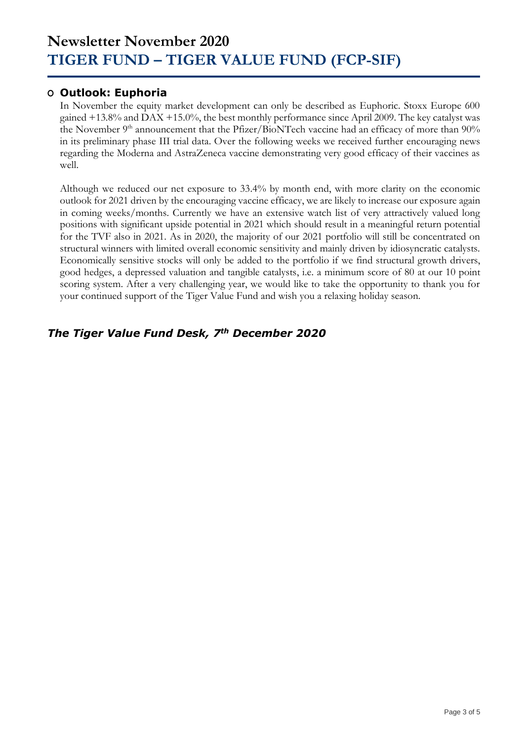### **O Outlook: Euphoria**

In November the equity market development can only be described as Euphoric. Stoxx Europe 600 gained +13.8% and DAX +15.0%, the best monthly performance since April 2009. The key catalyst was the November 9<sup>th</sup> announcement that the Pfizer/BioNTech vaccine had an efficacy of more than 90% in its preliminary phase III trial data. Over the following weeks we received further encouraging news regarding the Moderna and AstraZeneca vaccine demonstrating very good efficacy of their vaccines as well.

Although we reduced our net exposure to 33.4% by month end, with more clarity on the economic outlook for 2021 driven by the encouraging vaccine efficacy, we are likely to increase our exposure again in coming weeks/months. Currently we have an extensive watch list of very attractively valued long positions with significant upside potential in 2021 which should result in a meaningful return potential for the TVF also in 2021. As in 2020, the majority of our 2021 portfolio will still be concentrated on structural winners with limited overall economic sensitivity and mainly driven by idiosyncratic catalysts. Economically sensitive stocks will only be added to the portfolio if we find structural growth drivers, good hedges, a depressed valuation and tangible catalysts, i.e. a minimum score of 80 at our 10 point scoring system. After a very challenging year, we would like to take the opportunity to thank you for your continued support of the Tiger Value Fund and wish you a relaxing holiday season.

### *The Tiger Value Fund Desk, 7th December 2020*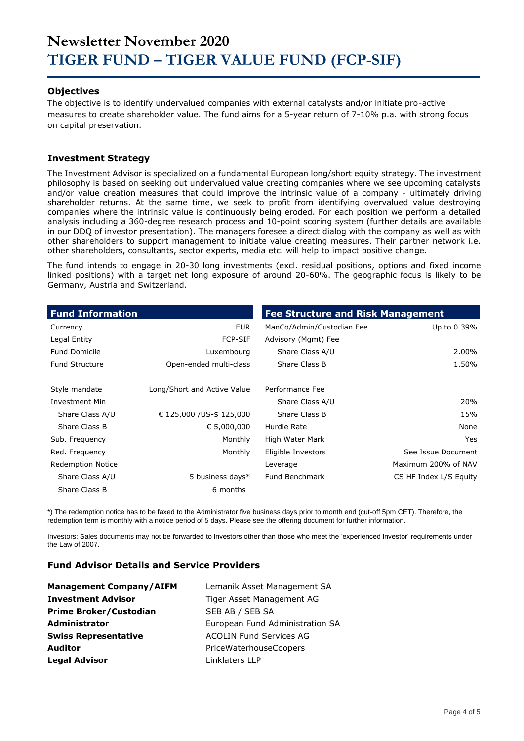#### **Objectives**

The objective is to identify undervalued companies with external catalysts and/or initiate pro-active measures to create shareholder value. The fund aims for a 5-year return of 7-10% p.a. with strong focus on capital preservation.

#### **Investment Strategy**

The Investment Advisor is specialized on a fundamental European long/short equity strategy. The investment philosophy is based on seeking out undervalued value creating companies where we see upcoming catalysts and/or value creation measures that could improve the intrinsic value of a company - ultimately driving shareholder returns. At the same time, we seek to profit from identifying overvalued value destroying companies where the intrinsic value is continuously being eroded. For each position we perform a detailed analysis including a 360-degree research process and 10-point scoring system (further details are available in our DDQ of investor presentation). The managers foresee a direct dialog with the company as well as with other shareholders to support management to initiate value creating measures. Their partner network i.e. other shareholders, consultants, sector experts, media etc. will help to impact positive change.

The fund intends to engage in 20-30 long investments (excl. residual positions, options and fixed income linked positions) with a target net long exposure of around 20-60%. The geographic focus is likely to be Germany, Austria and Switzerland.

| <b>Fund Information</b>  |                             | <b>Fee Structure and Risk Management</b> |                        |
|--------------------------|-----------------------------|------------------------------------------|------------------------|
| Currency                 | <b>EUR</b>                  | ManCo/Admin/Custodian Fee                | Up to 0.39%            |
| Legal Entity             | <b>FCP-SIF</b>              | Advisory (Mgmt) Fee                      |                        |
| <b>Fund Domicile</b>     | Luxembourg                  | Share Class A/U                          | 2.00%                  |
| <b>Fund Structure</b>    | Open-ended multi-class      | Share Class B                            | 1.50%                  |
| Style mandate            | Long/Short and Active Value | Performance Fee                          |                        |
| Investment Min           |                             | Share Class A/U                          | 20%                    |
| Share Class A/U          | € 125,000 / US-\$ 125,000   | Share Class B                            | 15%                    |
| Share Class B            | € 5,000,000                 | Hurdle Rate                              | None                   |
| Sub. Frequency           | Monthly                     | High Water Mark                          | Yes                    |
| Red. Frequency           | Monthly                     | Eligible Investors                       | See Issue Document     |
| <b>Redemption Notice</b> |                             | Leverage                                 | Maximum 200% of NAV    |
| Share Class A/U          | 5 business days*            | <b>Fund Benchmark</b>                    | CS HF Index L/S Equity |
| Share Class B            | 6 months                    |                                          |                        |

\*) The redemption notice has to be faxed to the Administrator five business days prior to month end (cut-off 5pm CET). Therefore, the redemption term is monthly with a notice period of 5 days. Please see the offering document for further information.

Investors: Sales documents may not be forwarded to investors other than those who meet the 'experienced investor' requirements under the Law of 2007.

#### **Fund Advisor Details and Service Providers**

| <b>Management Company/AIFM</b> | Lemanik Asset Management SA     |
|--------------------------------|---------------------------------|
| <b>Investment Advisor</b>      | Tiger Asset Management AG       |
| <b>Prime Broker/Custodian</b>  | SEB AB / SEB SA                 |
| <b>Administrator</b>           | European Fund Administration SA |
| <b>Swiss Representative</b>    | <b>ACOLIN Fund Services AG</b>  |
| <b>Auditor</b>                 | PriceWaterhouseCoopers          |
| <b>Legal Advisor</b>           | Linklaters LLP                  |